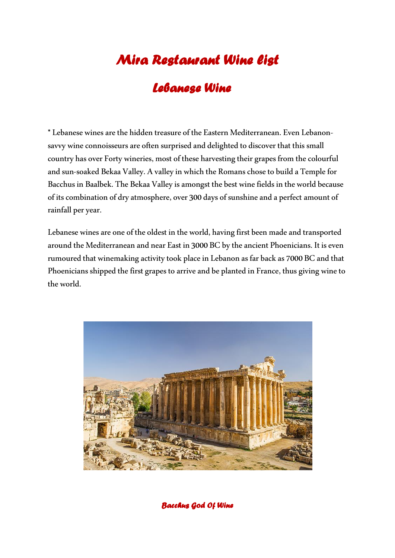# *Mira Restaurant Wine list*

## *Lebanese Wine*

**\***Lebanese wines are the hidden treasure of the Eastern Mediterranean. Even Lebanonsavvy wine connoisseurs are often surprised and delighted to discover that this small country has over Forty wineries, most of these harvesting their grapes from the colourful and sun-soaked Bekaa Valley. A valley in which the Romans chose to build a Temple for Bacchus in Baalbek. The Bekaa Valley is amongst the best wine fields in the world because of its combination of dry atmosphere, over 300 days of sunshine and a perfect amount of rainfall per year.

Lebanese wines are one of the oldest in the world, having first been made and transported around the Mediterranean and near East in 3000 BC by the ancient Phoenicians. It is even rumoured that winemaking activity took place in Lebanon as far back as 7000 BC and that Phoenicians shipped the first grapes to arrive and be planted in France, thus giving wine to the world.



*Bacchus God Of Wine*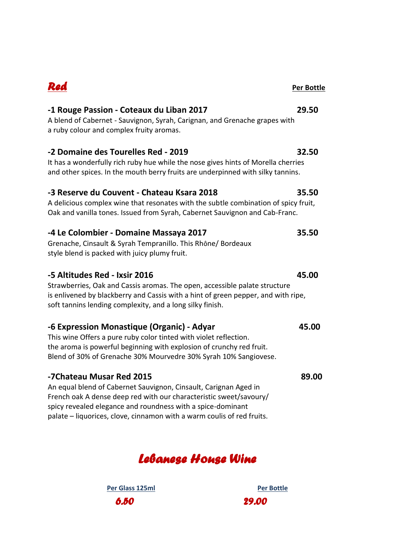## *Red* **Per Bottle**

## **-1 Rouge Passion - Coteaux du Liban 2017 29.50**

A blend of Cabernet - Sauvignon, Syrah, Carignan, and Grenache grapes with a ruby colour and complex fruity aromas.

## **-2 Domaine des Tourelles Red - 2019 32.50**

It has a wonderfully rich ruby hue while the nose gives hints of Morella cherries and other spices. In the mouth berry fruits are underpinned with silky tannins.

## **-3 Reserve du Couvent - Chateau Ksara 2018 35.50**

A delicious complex wine that resonates with the subtle combination of spicy fruit, Oak and vanilla tones. Issued from Syrah, Cabernet Sauvignon and Cab-Franc.

### **-4 Le Colombier - Domaine Massaya 2017 35.50**

Grenache, Cinsault & Syrah Tempranillo. This Rhône/ Bordeaux style blend is packed with juicy plumy fruit.

### **-5 Altitudes Red - Ixsir 2016 45.00**

Strawberries, Oak and Cassis aromas. The open, accessible palate structure is enlivened by blackberry and Cassis with a hint of green pepper, and with ripe, soft tannins lending complexity, and a long silky finish.

### **-6 Expression Monastique (Organic) - Adyar 45.00**

This wine Offers a pure ruby color tinted with violet reflection. the aroma is powerful beginning with explosion of crunchy red fruit. Blend of 30% of Grenache 30% Mourvedre 30% Syrah 10% Sangiovese.

### **-7Chateau Musar Red 2015 89.00**

An equal blend of Cabernet Sauvignon, Cinsault, Carignan Aged in French oak A dense deep red with our characteristic sweet/savoury/ spicy revealed elegance and roundness with a spice-dominant palate – liquorices, clove, cinnamon with a warm coulis of red fruits.

## *Lebanese House Wine*

Per Glass 125ml **Per Bottle** *6.50* 29.00

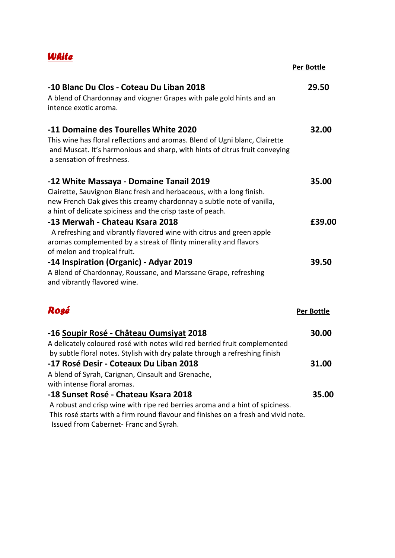| WAite                                                                                                                                                                                                                                                  |            |
|--------------------------------------------------------------------------------------------------------------------------------------------------------------------------------------------------------------------------------------------------------|------------|
|                                                                                                                                                                                                                                                        | Per Bottle |
| -10 Blanc Du Clos - Coteau Du Liban 2018<br>A blend of Chardonnay and viogner Grapes with pale gold hints and an<br>intence exotic aroma.                                                                                                              | 29.50      |
| -11 Domaine des Tourelles White 2020<br>This wine has floral reflections and aromas. Blend of Ugni blanc, Clairette<br>and Muscat. It's harmonious and sharp, with hints of citrus fruit conveying<br>a sensation of freshness.                        | 32.00      |
| -12 White Massaya - Domaine Tanail 2019<br>Clairette, Sauvignon Blanc fresh and herbaceous, with a long finish.<br>new French Oak gives this creamy chardonnay a subtle note of vanilla,<br>a hint of delicate spiciness and the crisp taste of peach. | 35.00      |
| -13 Merwah - Chateau Ksara 2018<br>A refreshing and vibrantly flavored wine with citrus and green apple<br>aromas complemented by a streak of flinty minerality and flavors<br>of melon and tropical fruit.                                            | £39.00     |
| -14 Inspiration (Organic) - Adyar 2019<br>A Blend of Chardonnay, Roussane, and Marssane Grape, refreshing<br>and vibrantly flavored wine.                                                                                                              | 39.50      |
| Rogé                                                                                                                                                                                                                                                   | Per Bottle |
| -16 Soupir Rosé - Château Oumsiyat 2018<br>A delicately coloured rosé with notes wild red berried fruit complemented<br>by subtle floral notes. Stylish with dry palate through a refreshing finish                                                    | 30.00      |
| -17 Rosé Desir - Coteaux Du Liban 2018<br>A blend of Syrah, Carignan, Cinsault and Grenache,<br>with intense floral aromas.                                                                                                                            | 31.00      |
| -18 Sunset Rosé - Chateau Ksara 2018<br>A robust and crisp wine with ripe red berries aroma and a hint of spiciness.<br>This rosé starts with a firm round flavour and finishes on a fresh and vivid note.<br>Issued from Cabernet-Franc and Syrah.    | 35.00      |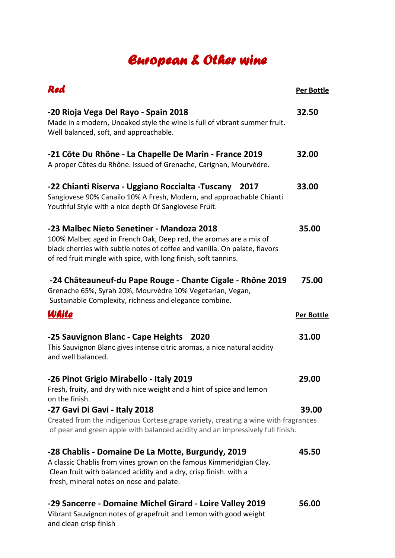# *European & Other wine*

| Red                                                                                                                                                                                                                                                             | <b>Per Bottle</b> |
|-----------------------------------------------------------------------------------------------------------------------------------------------------------------------------------------------------------------------------------------------------------------|-------------------|
| -20 Rioja Vega Del Rayo - Spain 2018<br>Made in a modern, Unoaked style the wine is full of vibrant summer fruit.<br>Well balanced, soft, and approachable.                                                                                                     | 32.50             |
| -21 Côte Du Rhône - La Chapelle De Marin - France 2019<br>A proper Côtes du Rhône. Issued of Grenache, Carignan, Mourvèdre.                                                                                                                                     | 32.00             |
| -22 Chianti Riserva - Uggiano Roccialta -Tuscany<br>2017<br>Sangiovese 90% Canailo 10% A Fresh, Modern, and approachable Chianti<br>Youthful Style with a nice depth Of Sangiovese Fruit.                                                                       | 33.00             |
| -23 Malbec Nieto Senetiner - Mandoza 2018<br>100% Malbec aged in French Oak, Deep red, the aromas are a mix of<br>black cherries with subtle notes of coffee and vanilla. On palate, flavors<br>of red fruit mingle with spice, with long finish, soft tannins. | 35.00             |
| -24 Châteauneuf-du Pape Rouge - Chante Cigale - Rhône 2019<br>Grenache 65%, Syrah 20%, Mourvèdre 10% Vegetarian, Vegan,<br>Sustainable Complexity, richness and elegance combine.                                                                               | 75.00             |
| WAite                                                                                                                                                                                                                                                           | <b>Per Bottle</b> |
| -25 Sauvignon Blanc - Cape Heights<br>2020<br>This Sauvignon Blanc gives intense citric aromas, a nice natural acidity<br>and well balanced.                                                                                                                    | 31.00             |
| -26 Pinot Grigio Mirabello - Italy 2019<br>Fresh, fruity, and dry with nice weight and a hint of spice and lemon<br>on the finish.                                                                                                                              | 29.00             |
| -27 Gavi Di Gavi - Italy 2018<br>Created from the indigenous Cortese grape variety, creating a wine with fragrances<br>of pear and green apple with balanced acidity and an impressively full finish.                                                           | 39.00             |
| -28 Chablis - Domaine De La Motte, Burgundy, 2019<br>A classic Chablis from vines grown on the famous Kimmeridgian Clay.<br>Clean fruit with balanced acidity and a dry, crisp finish. with a<br>fresh, mineral notes on nose and palate.                       | 45.50             |
| -29 Sancerre - Domaine Michel Girard - Loire Valley 2019<br>Vibrant Sauvignon notes of grapefruit and Lemon with good weight<br>and clean crisp finish                                                                                                          | 56.00             |